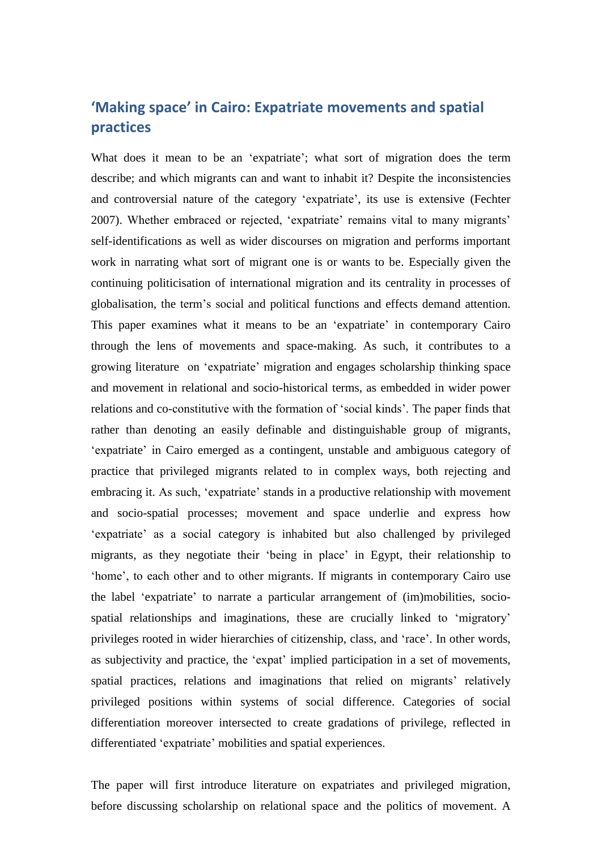## **'Making space' in Cairo: Expatriate movements and spatial practices**

What does it mean to be an 'expatriate'; what sort of migration does the term describe; and which migrants can and want to inhabit it? Despite the inconsistencies and controversial nature of the category 'expatriate', its use is extensive (Fechter 2007). Whether embraced or rejected, 'expatriate' remains vital to many migrants' self-identifications as well as wider discourses on migration and performs important work in narrating what sort of migrant one is or wants to be. Especially given the continuing politicisation of international migration and its centrality in processes of globalisation, the term's social and political functions and effects demand attention. This paper examines what it means to be an 'expatriate' in contemporary Cairo through the lens of movements and space-making. As such, it contributes to a growing literature on 'expatriate' migration and engages scholarship thinking space and movement in relational and socio-historical terms, as embedded in wider power relations and co-constitutive with the formation of 'social kinds'. The paper finds that rather than denoting an easily definable and distinguishable group of migrants, 'expatriate' in Cairo emerged as a contingent, unstable and ambiguous category of practice that privileged migrants related to in complex ways, both rejecting and embracing it. As such, 'expatriate' stands in a productive relationship with movement and socio-spatial processes; movement and space underlie and express how 'expatriate' as a social category is inhabited but also challenged by privileged migrants, as they negotiate their 'being in place' in Egypt, their relationship to 'home', to each other and to other migrants. If migrants in contemporary Cairo use the label 'expatriate' to narrate a particular arrangement of (im)mobilities, sociospatial relationships and imaginations, these are crucially linked to 'migratory' privileges rooted in wider hierarchies of citizenship, class, and 'race'. In other words, as subjectivity and practice, the 'expat' implied participation in a set of movements, spatial practices, relations and imaginations that relied on migrants' relatively privileged positions within systems of social difference. Categories of social differentiation moreover intersected to create gradations of privilege, reflected in differentiated 'expatriate' mobilities and spatial experiences.

The paper will first introduce literature on expatriates and privileged migration, before discussing scholarship on relational space and the politics of movement. A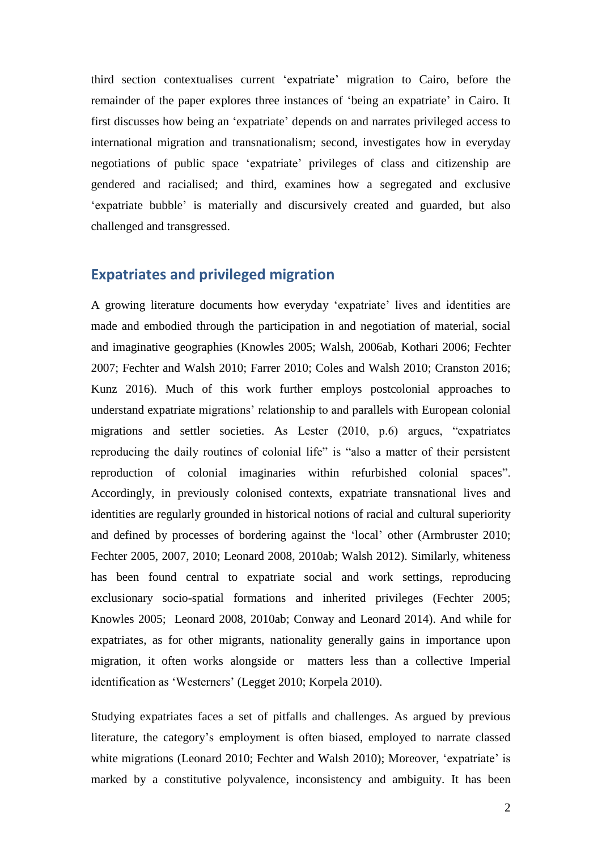third section contextualises current 'expatriate' migration to Cairo, before the remainder of the paper explores three instances of 'being an expatriate' in Cairo. It first discusses how being an 'expatriate' depends on and narrates privileged access to international migration and transnationalism; second, investigates how in everyday negotiations of public space 'expatriate' privileges of class and citizenship are gendered and racialised; and third, examines how a segregated and exclusive 'expatriate bubble' is materially and discursively created and guarded, but also challenged and transgressed.

#### **Expatriates and privileged migration**

A growing literature documents how everyday 'expatriate' lives and identities are made and embodied through the participation in and negotiation of material, social and imaginative geographies (Knowles 2005; Walsh, 2006ab, Kothari 2006; Fechter 2007; Fechter and Walsh 2010; Farrer 2010; Coles and Walsh 2010; Cranston 2016; Kunz 2016). Much of this work further employs postcolonial approaches to understand expatriate migrations' relationship to and parallels with European colonial migrations and settler societies. As Lester (2010, p.6) argues, "expatriates reproducing the daily routines of colonial life" is "also a matter of their persistent reproduction of colonial imaginaries within refurbished colonial spaces". Accordingly, in previously colonised contexts, expatriate transnational lives and identities are regularly grounded in historical notions of racial and cultural superiority and defined by processes of bordering against the 'local' other (Armbruster 2010; Fechter 2005, 2007, 2010; Leonard 2008, 2010ab; Walsh 2012). Similarly, whiteness has been found central to expatriate social and work settings, reproducing exclusionary socio-spatial formations and inherited privileges (Fechter 2005; Knowles 2005; Leonard 2008, 2010ab; Conway and Leonard 2014). And while for expatriates, as for other migrants, nationality generally gains in importance upon migration, it often works alongside or matters less than a collective Imperial identification as 'Westerners' (Legget 2010; Korpela 2010).

Studying expatriates faces a set of pitfalls and challenges. As argued by previous literature, the category's employment is often biased, employed to narrate classed white migrations (Leonard 2010; Fechter and Walsh 2010); Moreover, 'expatriate' is marked by a constitutive polyvalence, inconsistency and ambiguity. It has been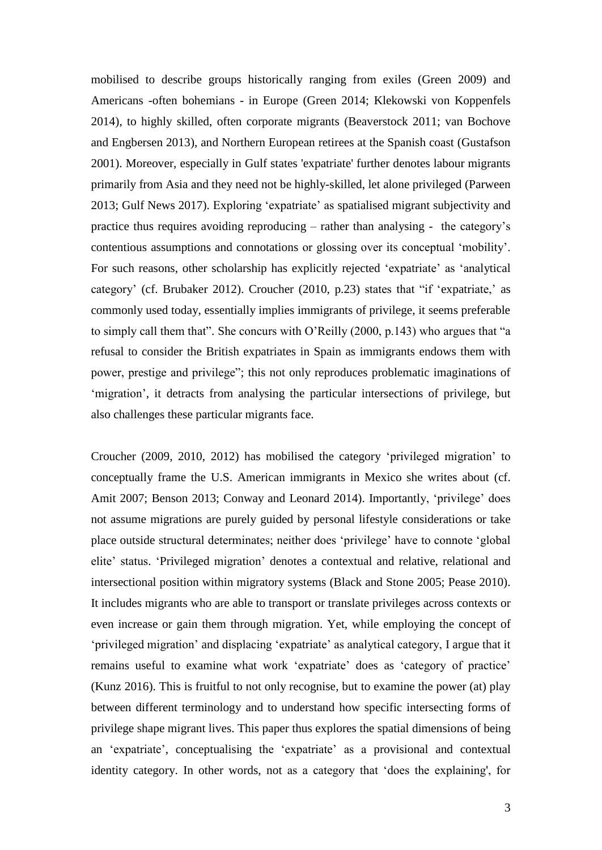mobilised to describe groups historically ranging from exiles (Green 2009) and Americans -often bohemians - in Europe (Green 2014; Klekowski von Koppenfels 2014), to highly skilled, often corporate migrants (Beaverstock 2011; van Bochove and Engbersen 2013), and Northern European retirees at the Spanish coast (Gustafson 2001). Moreover, especially in Gulf states 'expatriate' further denotes labour migrants primarily from Asia and they need not be highly-skilled, let alone privileged (Parween 2013; Gulf News 2017). Exploring 'expatriate' as spatialised migrant subjectivity and practice thus requires avoiding reproducing – rather than analysing - the category's contentious assumptions and connotations or glossing over its conceptual 'mobility'. For such reasons, other scholarship has explicitly rejected 'expatriate' as 'analytical category' (cf. Brubaker 2012). Croucher (2010, p.23) states that "if 'expatriate,' as commonly used today, essentially implies immigrants of privilege, it seems preferable to simply call them that". She concurs with O'Reilly (2000, p.143) who argues that "a refusal to consider the British expatriates in Spain as immigrants endows them with power, prestige and privilege"; this not only reproduces problematic imaginations of 'migration', it detracts from analysing the particular intersections of privilege, but also challenges these particular migrants face.

Croucher (2009, 2010, 2012) has mobilised the category 'privileged migration' to conceptually frame the U.S. American immigrants in Mexico she writes about (cf. Amit 2007; Benson 2013; Conway and Leonard 2014). Importantly, 'privilege' does not assume migrations are purely guided by personal lifestyle considerations or take place outside structural determinates; neither does 'privilege' have to connote 'global elite' status. 'Privileged migration' denotes a contextual and relative, relational and intersectional position within migratory systems (Black and Stone 2005; Pease 2010). It includes migrants who are able to transport or translate privileges across contexts or even increase or gain them through migration. Yet, while employing the concept of 'privileged migration' and displacing 'expatriate' as analytical category, I argue that it remains useful to examine what work 'expatriate' does as 'category of practice' (Kunz 2016). This is fruitful to not only recognise, but to examine the power (at) play between different terminology and to understand how specific intersecting forms of privilege shape migrant lives. This paper thus explores the spatial dimensions of being an 'expatriate', conceptualising the 'expatriate' as a provisional and contextual identity category. In other words, not as a category that 'does the explaining', for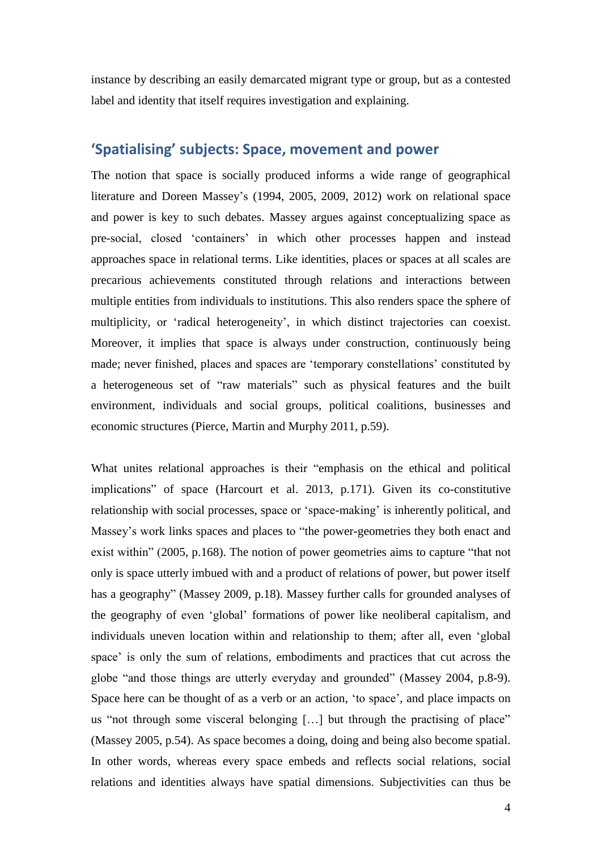instance by describing an easily demarcated migrant type or group, but as a contested label and identity that itself requires investigation and explaining.

## **'Spatialising' subjects: Space, movement and power**

The notion that space is socially produced informs a wide range of geographical literature and Doreen Massey's (1994, 2005, 2009, 2012) work on relational space and power is key to such debates. Massey argues against conceptualizing space as pre-social, closed 'containers' in which other processes happen and instead approaches space in relational terms. Like identities, places or spaces at all scales are precarious achievements constituted through relations and interactions between multiple entities from individuals to institutions. This also renders space the sphere of multiplicity, or 'radical heterogeneity', in which distinct trajectories can coexist. Moreover, it implies that space is always under construction, continuously being made; never finished, places and spaces are 'temporary constellations' constituted by a heterogeneous set of "raw materials" such as physical features and the built environment, individuals and social groups, political coalitions, businesses and economic structures (Pierce, Martin and Murphy 2011, p.59).

What unites relational approaches is their "emphasis on the ethical and political implications" of space (Harcourt et al. 2013, p.171). Given its co-constitutive relationship with social processes, space or 'space-making' is inherently political, and Massey's work links spaces and places to "the power-geometries they both enact and exist within" (2005, p.168). The notion of power geometries aims to capture "that not only is space utterly imbued with and a product of relations of power, but power itself has a geography" (Massey 2009, p.18). Massey further calls for grounded analyses of the geography of even 'global' formations of power like neoliberal capitalism, and individuals uneven location within and relationship to them; after all, even 'global space' is only the sum of relations, embodiments and practices that cut across the globe "and those things are utterly everyday and grounded" (Massey 2004, p.8-9). Space here can be thought of as a verb or an action, 'to space', and place impacts on us "not through some visceral belonging […] but through the practising of place" (Massey 2005, p.54). As space becomes a doing, doing and being also become spatial. In other words, whereas every space embeds and reflects social relations, social relations and identities always have spatial dimensions. Subjectivities can thus be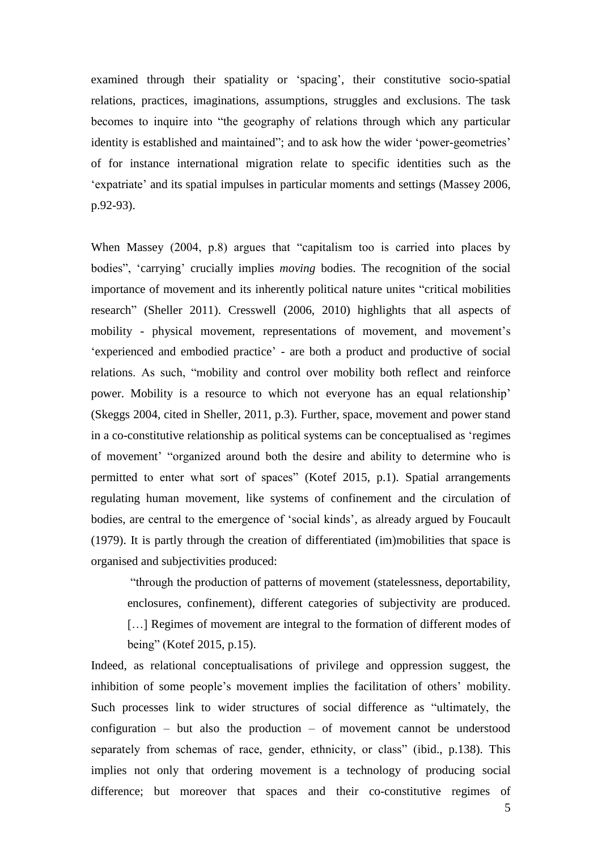examined through their spatiality or 'spacing', their constitutive socio-spatial relations, practices, imaginations, assumptions, struggles and exclusions. The task becomes to inquire into "the geography of relations through which any particular identity is established and maintained"; and to ask how the wider 'power-geometries' of for instance international migration relate to specific identities such as the 'expatriate' and its spatial impulses in particular moments and settings (Massey 2006, p.92-93).

When Massey (2004, p.8) argues that "capitalism too is carried into places by bodies", 'carrying' crucially implies *moving* bodies. The recognition of the social importance of movement and its inherently political nature unites "critical mobilities research" (Sheller 2011). Cresswell (2006, 2010) highlights that all aspects of mobility - physical movement, representations of movement, and movement's 'experienced and embodied practice' - are both a product and productive of social relations. As such, "mobility and control over mobility both reflect and reinforce power. Mobility is a resource to which not everyone has an equal relationship' (Skeggs 2004, cited in Sheller, 2011, p.3). Further, space, movement and power stand in a co-constitutive relationship as political systems can be conceptualised as 'regimes of movement' "organized around both the desire and ability to determine who is permitted to enter what sort of spaces" (Kotef 2015, p.1). Spatial arrangements regulating human movement, like systems of confinement and the circulation of bodies, are central to the emergence of 'social kinds', as already argued by Foucault (1979). It is partly through the creation of differentiated (im)mobilities that space is organised and subjectivities produced:

"through the production of patterns of movement (statelessness, deportability, enclosures, confinement), different categories of subjectivity are produced. [...] Regimes of movement are integral to the formation of different modes of being" (Kotef 2015, p.15).

Indeed, as relational conceptualisations of privilege and oppression suggest, the inhibition of some people's movement implies the facilitation of others' mobility. Such processes link to wider structures of social difference as "ultimately, the configuration – but also the production – of movement cannot be understood separately from schemas of race, gender, ethnicity, or class" (ibid., p.138). This implies not only that ordering movement is a technology of producing social difference; but moreover that spaces and their co-constitutive regimes of

5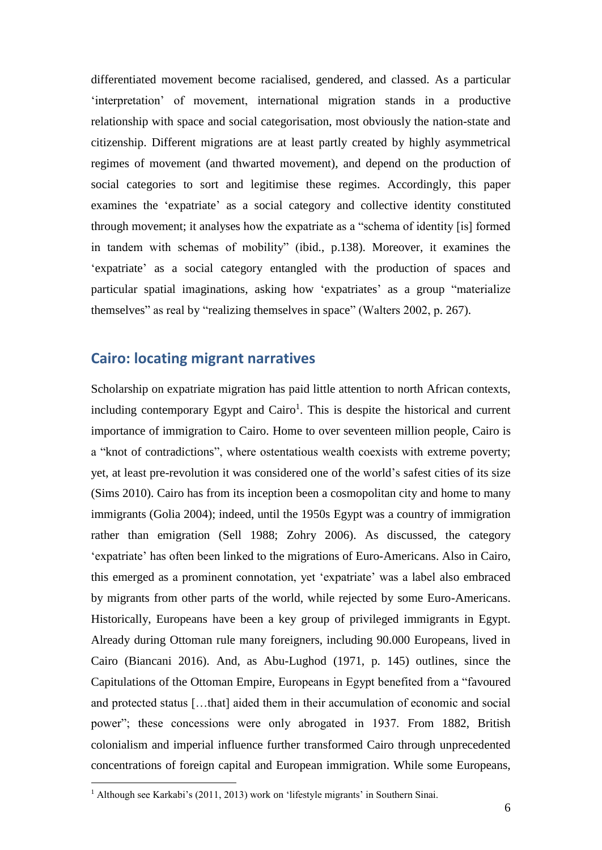differentiated movement become racialised, gendered, and classed. As a particular 'interpretation' of movement, international migration stands in a productive relationship with space and social categorisation, most obviously the nation-state and citizenship. Different migrations are at least partly created by highly asymmetrical regimes of movement (and thwarted movement), and depend on the production of social categories to sort and legitimise these regimes. Accordingly, this paper examines the 'expatriate' as a social category and collective identity constituted through movement; it analyses how the expatriate as a "schema of identity [is] formed in tandem with schemas of mobility" (ibid., p.138). Moreover, it examines the 'expatriate' as a social category entangled with the production of spaces and particular spatial imaginations, asking how 'expatriates' as a group "materialize themselves" as real by "realizing themselves in space" (Walters 2002, p. 267).

### **Cairo: locating migrant narratives**

Scholarship on expatriate migration has paid little attention to north African contexts, including contemporary Egypt and Cairo<sup>1</sup>. This is despite the historical and current importance of immigration to Cairo. Home to over seventeen million people, Cairo is a "knot of contradictions", where ostentatious wealth coexists with extreme poverty; yet, at least pre-revolution it was considered one of the world's safest cities of its size (Sims 2010). Cairo has from its inception been a cosmopolitan city and home to many immigrants (Golia 2004); indeed, until the 1950s Egypt was a country of immigration rather than emigration (Sell 1988; Zohry 2006). As discussed, the category 'expatriate' has often been linked to the migrations of Euro-Americans. Also in Cairo, this emerged as a prominent connotation, yet 'expatriate' was a label also embraced by migrants from other parts of the world, while rejected by some Euro-Americans. Historically, Europeans have been a key group of privileged immigrants in Egypt. Already during Ottoman rule many foreigners, including 90.000 Europeans, lived in Cairo (Biancani 2016). And, as Abu-Lughod (1971, p. 145) outlines, since the Capitulations of the Ottoman Empire, Europeans in Egypt benefited from a "favoured and protected status […that] aided them in their accumulation of economic and social power"; these concessions were only abrogated in 1937. From 1882, British colonialism and imperial influence further transformed Cairo through unprecedented concentrations of foreign capital and European immigration. While some Europeans,

 $\overline{a}$ 

<sup>&</sup>lt;sup>1</sup> Although see Karkabi's (2011, 2013) work on 'lifestyle migrants' in Southern Sinai.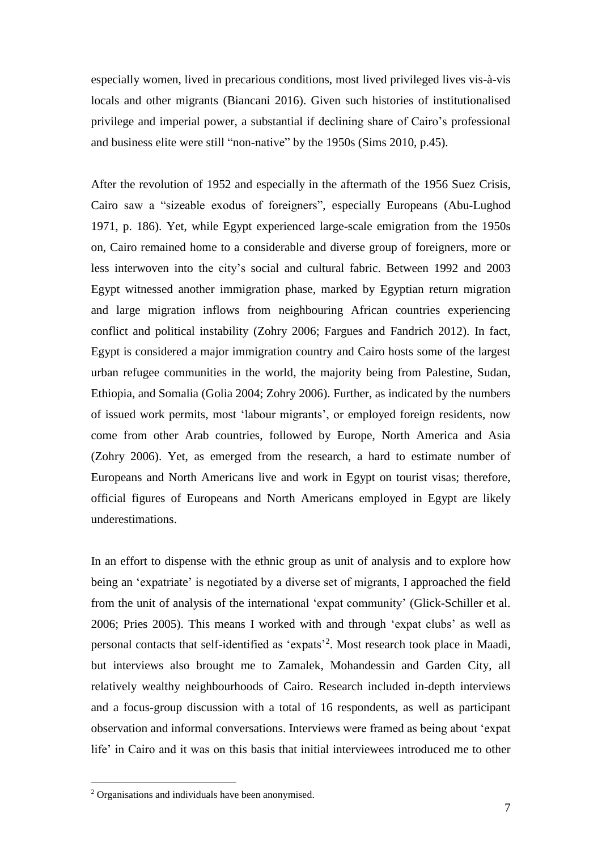especially women, lived in precarious conditions, most lived privileged lives vis-à-vis locals and other migrants (Biancani 2016). Given such histories of institutionalised privilege and imperial power, a substantial if declining share of Cairo's professional and business elite were still "non-native" by the 1950s (Sims 2010, p.45).

After the revolution of 1952 and especially in the aftermath of the 1956 Suez Crisis, Cairo saw a "sizeable exodus of foreigners", especially Europeans (Abu-Lughod 1971, p. 186). Yet, while Egypt experienced large-scale emigration from the 1950s on, Cairo remained home to a considerable and diverse group of foreigners, more or less interwoven into the city's social and cultural fabric. Between 1992 and 2003 Egypt witnessed another immigration phase, marked by Egyptian return migration and large migration inflows from neighbouring African countries experiencing conflict and political instability (Zohry 2006; Fargues and Fandrich 2012). In fact, Egypt is considered a major immigration country and Cairo hosts some of the largest urban refugee communities in the world, the majority being from Palestine, Sudan, Ethiopia, and Somalia (Golia 2004; Zohry 2006). Further, as indicated by the numbers of issued work permits, most 'labour migrants', or employed foreign residents, now come from other Arab countries, followed by Europe, North America and Asia (Zohry 2006). Yet, as emerged from the research, a hard to estimate number of Europeans and North Americans live and work in Egypt on tourist visas; therefore, official figures of Europeans and North Americans employed in Egypt are likely underestimations.

In an effort to dispense with the ethnic group as unit of analysis and to explore how being an 'expatriate' is negotiated by a diverse set of migrants, I approached the field from the unit of analysis of the international 'expat community' (Glick-Schiller et al. 2006; Pries 2005). This means I worked with and through 'expat clubs' as well as personal contacts that self-identified as 'expats'<sup>2</sup> . Most research took place in Maadi, but interviews also brought me to Zamalek, Mohandessin and Garden City, all relatively wealthy neighbourhoods of Cairo. Research included in-depth interviews and a focus-group discussion with a total of 16 respondents, as well as participant observation and informal conversations. Interviews were framed as being about 'expat life' in Cairo and it was on this basis that initial interviewees introduced me to other

 $\overline{a}$ 

<sup>2</sup> Organisations and individuals have been anonymised.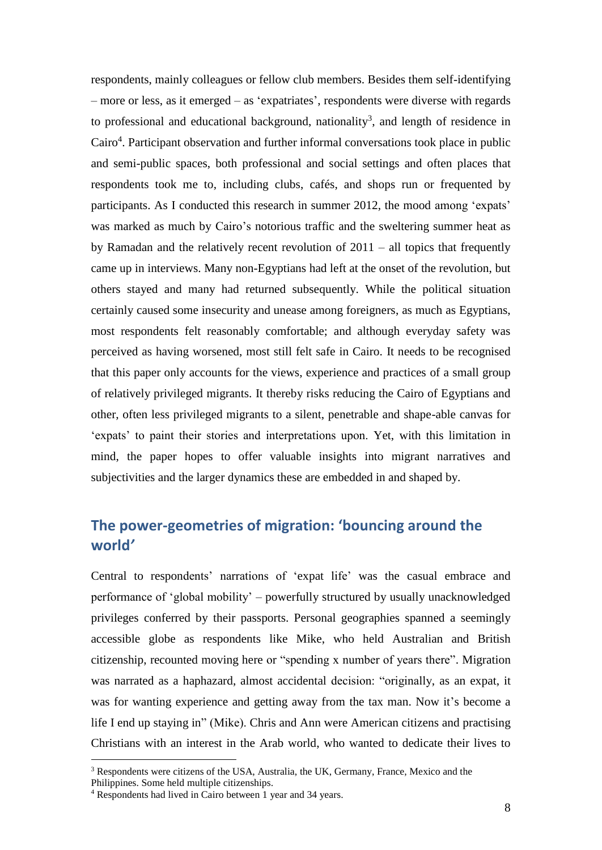respondents, mainly colleagues or fellow club members. Besides them self-identifying – more or less, as it emerged – as 'expatriates', respondents were diverse with regards to professional and educational background, nationality<sup>3</sup>, and length of residence in Cairo<sup>4</sup>. Participant observation and further informal conversations took place in public and semi-public spaces, both professional and social settings and often places that respondents took me to, including clubs, cafés, and shops run or frequented by participants. As I conducted this research in summer 2012, the mood among 'expats' was marked as much by Cairo's notorious traffic and the sweltering summer heat as by Ramadan and the relatively recent revolution of 2011 – all topics that frequently came up in interviews. Many non-Egyptians had left at the onset of the revolution, but others stayed and many had returned subsequently. While the political situation certainly caused some insecurity and unease among foreigners, as much as Egyptians, most respondents felt reasonably comfortable; and although everyday safety was perceived as having worsened, most still felt safe in Cairo. It needs to be recognised that this paper only accounts for the views, experience and practices of a small group of relatively privileged migrants. It thereby risks reducing the Cairo of Egyptians and other, often less privileged migrants to a silent, penetrable and shape-able canvas for 'expats' to paint their stories and interpretations upon. Yet, with this limitation in mind, the paper hopes to offer valuable insights into migrant narratives and subjectivities and the larger dynamics these are embedded in and shaped by.

## **The power-geometries of migration: 'bouncing around the world***'*

Central to respondents' narrations of 'expat life' was the casual embrace and performance of 'global mobility' – powerfully structured by usually unacknowledged privileges conferred by their passports. Personal geographies spanned a seemingly accessible globe as respondents like Mike, who held Australian and British citizenship, recounted moving here or "spending x number of years there". Migration was narrated as a haphazard, almost accidental decision: "originally, as an expat, it was for wanting experience and getting away from the tax man. Now it's become a life I end up staying in" (Mike). Chris and Ann were American citizens and practising Christians with an interest in the Arab world, who wanted to dedicate their lives to

 $\overline{a}$ 

<sup>3</sup> Respondents were citizens of the USA, Australia, the UK, Germany, France, Mexico and the Philippines. Some held multiple citizenships.

<sup>&</sup>lt;sup>4</sup> Respondents had lived in Cairo between 1 year and 34 years.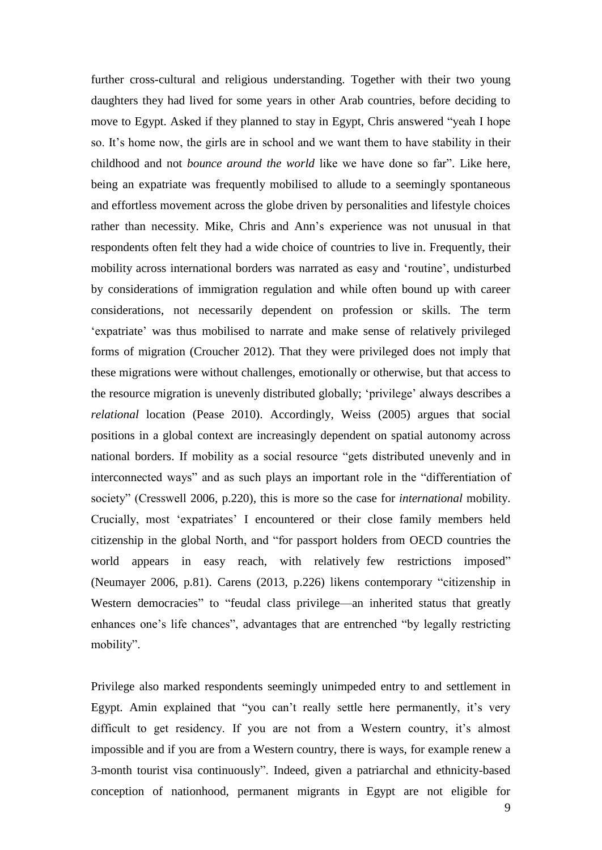further cross-cultural and religious understanding. Together with their two young daughters they had lived for some years in other Arab countries, before deciding to move to Egypt. Asked if they planned to stay in Egypt, Chris answered "yeah I hope so. It's home now, the girls are in school and we want them to have stability in their childhood and not *bounce around the world* like we have done so far". Like here, being an expatriate was frequently mobilised to allude to a seemingly spontaneous and effortless movement across the globe driven by personalities and lifestyle choices rather than necessity. Mike, Chris and Ann's experience was not unusual in that respondents often felt they had a wide choice of countries to live in. Frequently, their mobility across international borders was narrated as easy and 'routine', undisturbed by considerations of immigration regulation and while often bound up with career considerations, not necessarily dependent on profession or skills. The term 'expatriate' was thus mobilised to narrate and make sense of relatively privileged forms of migration (Croucher 2012). That they were privileged does not imply that these migrations were without challenges, emotionally or otherwise, but that access to the resource migration is unevenly distributed globally; 'privilege' always describes a *relational* location (Pease 2010). Accordingly, Weiss (2005) argues that social positions in a global context are increasingly dependent on spatial autonomy across national borders. If mobility as a social resource "gets distributed unevenly and in interconnected ways" and as such plays an important role in the "differentiation of society" (Cresswell 2006, p.220), this is more so the case for *international* mobility. Crucially, most 'expatriates' I encountered or their close family members held citizenship in the global North, and "for passport holders from OECD countries the world appears in easy reach, with relatively few restrictions imposed" (Neumayer 2006, p.81). Carens (2013, p.226) likens contemporary "citizenship in Western democracies" to "feudal class privilege—an inherited status that greatly enhances one's life chances", advantages that are entrenched "by legally restricting mobility".

Privilege also marked respondents seemingly unimpeded entry to and settlement in Egypt. Amin explained that "you can't really settle here permanently, it's very difficult to get residency. If you are not from a Western country, it's almost impossible and if you are from a Western country, there is ways, for example renew a 3-month tourist visa continuously". Indeed, given a patriarchal and ethnicity-based conception of nationhood, permanent migrants in Egypt are not eligible for

9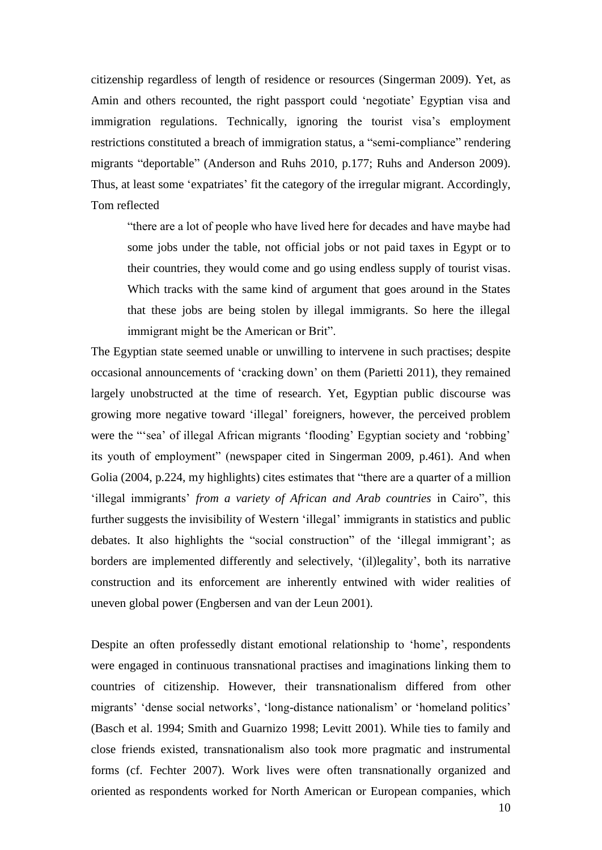citizenship regardless of length of residence or resources (Singerman 2009). Yet, as Amin and others recounted, the right passport could 'negotiate' Egyptian visa and immigration regulations. Technically, ignoring the tourist visa's employment restrictions constituted a breach of immigration status, a "semi-compliance" rendering migrants "deportable" (Anderson and Ruhs 2010, p.177; Ruhs and Anderson 2009). Thus, at least some 'expatriates' fit the category of the irregular migrant. Accordingly, Tom reflected

"there are a lot of people who have lived here for decades and have maybe had some jobs under the table, not official jobs or not paid taxes in Egypt or to their countries, they would come and go using endless supply of tourist visas. Which tracks with the same kind of argument that goes around in the States that these jobs are being stolen by illegal immigrants. So here the illegal immigrant might be the American or Brit".

The Egyptian state seemed unable or unwilling to intervene in such practises; despite occasional announcements of 'cracking down' on them (Parietti 2011), they remained largely unobstructed at the time of research. Yet, Egyptian public discourse was growing more negative toward 'illegal' foreigners, however, the perceived problem were the "'sea' of illegal African migrants 'flooding' Egyptian society and 'robbing' its youth of employment" (newspaper cited in Singerman 2009, p.461). And when Golia (2004, p.224, my highlights) cites estimates that "there are a quarter of a million 'illegal immigrants' *from a variety of African and Arab countries* in Cairo", this further suggests the invisibility of Western 'illegal' immigrants in statistics and public debates. It also highlights the "social construction" of the 'illegal immigrant'; as borders are implemented differently and selectively, '(il)legality', both its narrative construction and its enforcement are inherently entwined with wider realities of uneven global power (Engbersen and van der Leun 2001).

Despite an often professedly distant emotional relationship to 'home', respondents were engaged in continuous transnational practises and imaginations linking them to countries of citizenship. However, their transnationalism differed from other migrants' 'dense social networks', 'long-distance nationalism' or 'homeland politics' (Basch et al. 1994; Smith and Guarnizo 1998; Levitt 2001). While ties to family and close friends existed, transnationalism also took more pragmatic and instrumental forms (cf. Fechter 2007). Work lives were often transnationally organized and oriented as respondents worked for North American or European companies, which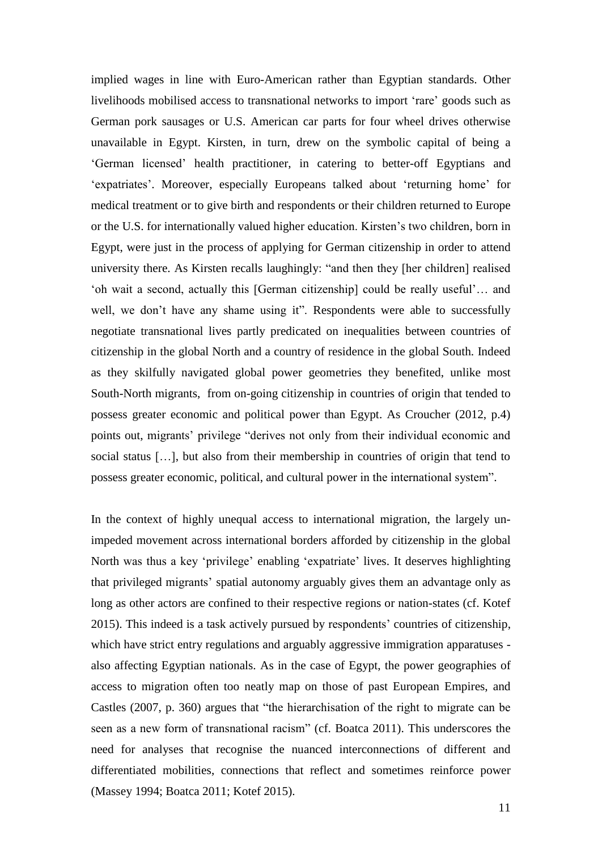implied wages in line with Euro-American rather than Egyptian standards. Other livelihoods mobilised access to transnational networks to import 'rare' goods such as German pork sausages or U.S. American car parts for four wheel drives otherwise unavailable in Egypt. Kirsten, in turn, drew on the symbolic capital of being a 'German licensed' health practitioner, in catering to better-off Egyptians and 'expatriates'. Moreover, especially Europeans talked about 'returning home' for medical treatment or to give birth and respondents or their children returned to Europe or the U.S. for internationally valued higher education. Kirsten's two children, born in Egypt, were just in the process of applying for German citizenship in order to attend university there. As Kirsten recalls laughingly: "and then they [her children] realised 'oh wait a second, actually this [German citizenship] could be really useful'… and well, we don't have any shame using it". Respondents were able to successfully negotiate transnational lives partly predicated on inequalities between countries of citizenship in the global North and a country of residence in the global South. Indeed as they skilfully navigated global power geometries they benefited, unlike most South-North migrants, from on-going citizenship in countries of origin that tended to possess greater economic and political power than Egypt. As Croucher (2012, p.4) points out, migrants' privilege "derives not only from their individual economic and social status […], but also from their membership in countries of origin that tend to possess greater economic, political, and cultural power in the international system".

In the context of highly unequal access to international migration, the largely unimpeded movement across international borders afforded by citizenship in the global North was thus a key 'privilege' enabling 'expatriate' lives. It deserves highlighting that privileged migrants' spatial autonomy arguably gives them an advantage only as long as other actors are confined to their respective regions or nation-states (cf. Kotef 2015). This indeed is a task actively pursued by respondents' countries of citizenship, which have strict entry regulations and arguably aggressive immigration apparatuses also affecting Egyptian nationals. As in the case of Egypt, the power geographies of access to migration often too neatly map on those of past European Empires, and Castles (2007, p. 360) argues that "the hierarchisation of the right to migrate can be seen as a new form of transnational racism" (cf. Boatca 2011). This underscores the need for analyses that recognise the nuanced interconnections of different and differentiated mobilities, connections that reflect and sometimes reinforce power (Massey 1994; Boatca 2011; Kotef 2015).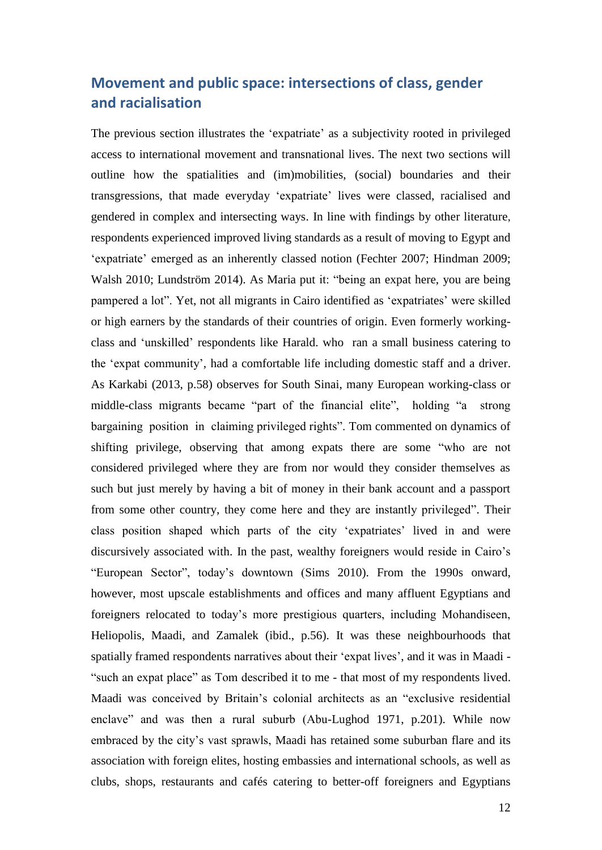# **Movement and public space: intersections of class, gender and racialisation**

The previous section illustrates the 'expatriate' as a subjectivity rooted in privileged access to international movement and transnational lives. The next two sections will outline how the spatialities and (im)mobilities, (social) boundaries and their transgressions, that made everyday 'expatriate' lives were classed, racialised and gendered in complex and intersecting ways. In line with findings by other literature, respondents experienced improved living standards as a result of moving to Egypt and 'expatriate' emerged as an inherently classed notion (Fechter 2007; Hindman 2009; Walsh 2010; Lundström 2014). As Maria put it: "being an expat here, you are being pampered a lot". Yet, not all migrants in Cairo identified as 'expatriates' were skilled or high earners by the standards of their countries of origin. Even formerly workingclass and 'unskilled' respondents like Harald. who ran a small business catering to the 'expat community', had a comfortable life including domestic staff and a driver. As Karkabi (2013, p.58) observes for South Sinai, many European working-class or middle-class migrants became "part of the financial elite", holding "a strong bargaining position in claiming privileged rights". Tom commented on dynamics of shifting privilege, observing that among expats there are some "who are not considered privileged where they are from nor would they consider themselves as such but just merely by having a bit of money in their bank account and a passport from some other country, they come here and they are instantly privileged". Their class position shaped which parts of the city 'expatriates' lived in and were discursively associated with. In the past, wealthy foreigners would reside in Cairo's "European Sector", today's downtown (Sims 2010). From the 1990s onward, however, most upscale establishments and offices and many affluent Egyptians and foreigners relocated to today's more prestigious quarters, including Mohandiseen, Heliopolis, Maadi, and Zamalek (ibid., p.56). It was these neighbourhoods that spatially framed respondents narratives about their 'expat lives', and it was in Maadi - "such an expat place" as Tom described it to me - that most of my respondents lived. Maadi was conceived by Britain's colonial architects as an "exclusive residential enclave" and was then a rural suburb (Abu-Lughod 1971, p.201). While now embraced by the city's vast sprawls, Maadi has retained some suburban flare and its association with foreign elites, hosting embassies and international schools, as well as clubs, shops, restaurants and cafés catering to better-off foreigners and Egyptians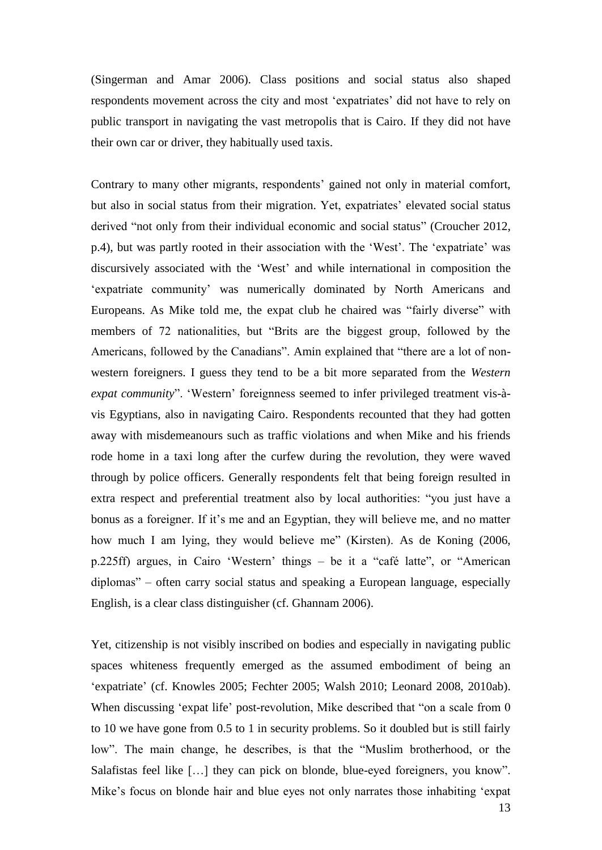(Singerman and Amar 2006). Class positions and social status also shaped respondents movement across the city and most 'expatriates' did not have to rely on public transport in navigating the vast metropolis that is Cairo. If they did not have their own car or driver, they habitually used taxis.

Contrary to many other migrants, respondents' gained not only in material comfort, but also in social status from their migration. Yet, expatriates' elevated social status derived "not only from their individual economic and social status" (Croucher 2012, p.4), but was partly rooted in their association with the 'West'. The 'expatriate' was discursively associated with the 'West' and while international in composition the 'expatriate community' was numerically dominated by North Americans and Europeans. As Mike told me, the expat club he chaired was "fairly diverse" with members of 72 nationalities, but "Brits are the biggest group, followed by the Americans, followed by the Canadians". Amin explained that "there are a lot of nonwestern foreigners. I guess they tend to be a bit more separated from the *Western expat community*". 'Western' foreignness seemed to infer privileged treatment vis-àvis Egyptians, also in navigating Cairo. Respondents recounted that they had gotten away with misdemeanours such as traffic violations and when Mike and his friends rode home in a taxi long after the curfew during the revolution, they were waved through by police officers. Generally respondents felt that being foreign resulted in extra respect and preferential treatment also by local authorities: "you just have a bonus as a foreigner. If it's me and an Egyptian, they will believe me, and no matter how much I am lying, they would believe me" (Kirsten). As de Koning (2006, p.225ff) argues, in Cairo 'Western' things – be it a "café latte", or "American diplomas" – often carry social status and speaking a European language, especially English, is a clear class distinguisher (cf. Ghannam 2006).

Yet, citizenship is not visibly inscribed on bodies and especially in navigating public spaces whiteness frequently emerged as the assumed embodiment of being an 'expatriate' (cf. Knowles 2005; Fechter 2005; Walsh 2010; Leonard 2008, 2010ab). When discussing 'expat life' post-revolution, Mike described that "on a scale from 0 to 10 we have gone from 0.5 to 1 in security problems. So it doubled but is still fairly low". The main change, he describes, is that the "Muslim brotherhood, or the Salafistas feel like […] they can pick on blonde, blue-eyed foreigners, you know". Mike's focus on blonde hair and blue eyes not only narrates those inhabiting 'expat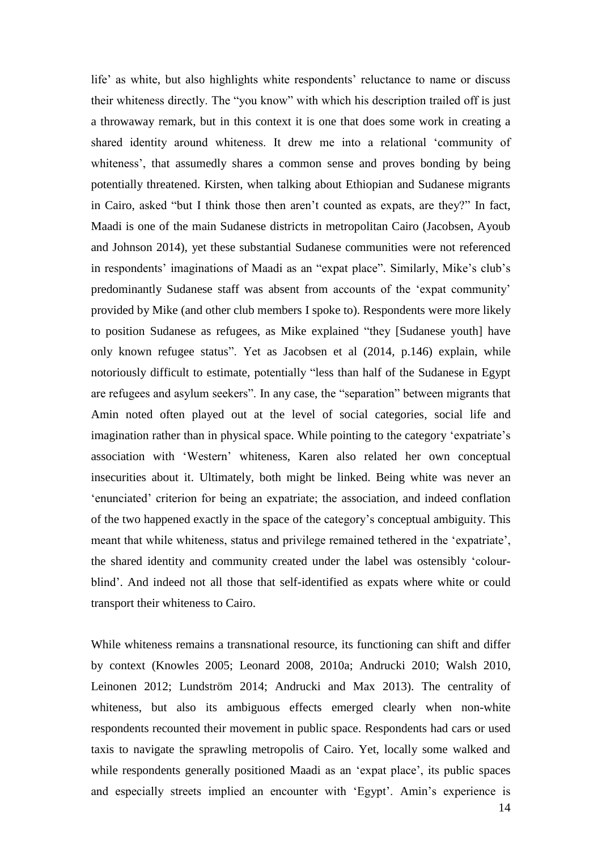life' as white, but also highlights white respondents' reluctance to name or discuss their whiteness directly. The "you know" with which his description trailed off is just a throwaway remark, but in this context it is one that does some work in creating a shared identity around whiteness. It drew me into a relational 'community of whiteness', that assumedly shares a common sense and proves bonding by being potentially threatened. Kirsten, when talking about Ethiopian and Sudanese migrants in Cairo, asked "but I think those then aren't counted as expats, are they?" In fact, Maadi is one of the main Sudanese districts in metropolitan Cairo (Jacobsen, Ayoub and Johnson 2014), yet these substantial Sudanese communities were not referenced in respondents' imaginations of Maadi as an "expat place". Similarly, Mike's club's predominantly Sudanese staff was absent from accounts of the 'expat community' provided by Mike (and other club members I spoke to). Respondents were more likely to position Sudanese as refugees, as Mike explained "they [Sudanese youth] have only known refugee status". Yet as Jacobsen et al (2014, p.146) explain, while notoriously difficult to estimate, potentially "less than half of the Sudanese in Egypt are refugees and asylum seekers". In any case, the "separation" between migrants that Amin noted often played out at the level of social categories, social life and imagination rather than in physical space. While pointing to the category 'expatriate's association with 'Western' whiteness, Karen also related her own conceptual insecurities about it. Ultimately, both might be linked. Being white was never an 'enunciated' criterion for being an expatriate; the association, and indeed conflation of the two happened exactly in the space of the category's conceptual ambiguity. This meant that while whiteness, status and privilege remained tethered in the 'expatriate', the shared identity and community created under the label was ostensibly 'colourblind'. And indeed not all those that self-identified as expats where white or could transport their whiteness to Cairo.

While whiteness remains a transnational resource, its functioning can shift and differ by context (Knowles 2005; Leonard 2008, 2010a; Andrucki 2010; Walsh 2010, Leinonen 2012; Lundström 2014; Andrucki and Max 2013). The centrality of whiteness, but also its ambiguous effects emerged clearly when non-white respondents recounted their movement in public space. Respondents had cars or used taxis to navigate the sprawling metropolis of Cairo. Yet, locally some walked and while respondents generally positioned Maadi as an 'expat place', its public spaces and especially streets implied an encounter with 'Egypt'. Amin's experience is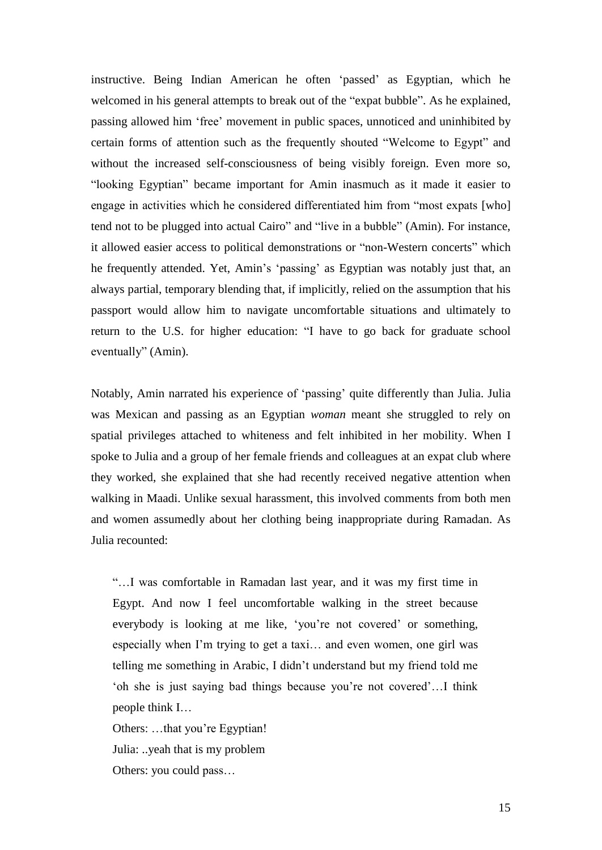instructive. Being Indian American he often 'passed' as Egyptian, which he welcomed in his general attempts to break out of the "expat bubble". As he explained, passing allowed him 'free' movement in public spaces, unnoticed and uninhibited by certain forms of attention such as the frequently shouted "Welcome to Egypt" and without the increased self-consciousness of being visibly foreign. Even more so, "looking Egyptian" became important for Amin inasmuch as it made it easier to engage in activities which he considered differentiated him from "most expats [who] tend not to be plugged into actual Cairo" and "live in a bubble" (Amin). For instance, it allowed easier access to political demonstrations or "non-Western concerts" which he frequently attended. Yet, Amin's 'passing' as Egyptian was notably just that, an always partial, temporary blending that, if implicitly, relied on the assumption that his passport would allow him to navigate uncomfortable situations and ultimately to return to the U.S. for higher education: "I have to go back for graduate school eventually" (Amin).

Notably, Amin narrated his experience of 'passing' quite differently than Julia. Julia was Mexican and passing as an Egyptian *woman* meant she struggled to rely on spatial privileges attached to whiteness and felt inhibited in her mobility. When I spoke to Julia and a group of her female friends and colleagues at an expat club where they worked, she explained that she had recently received negative attention when walking in Maadi. Unlike sexual harassment, this involved comments from both men and women assumedly about her clothing being inappropriate during Ramadan. As Julia recounted:

"…I was comfortable in Ramadan last year, and it was my first time in Egypt. And now I feel uncomfortable walking in the street because everybody is looking at me like, 'you're not covered' or something, especially when I'm trying to get a taxi… and even women, one girl was telling me something in Arabic, I didn't understand but my friend told me 'oh she is just saying bad things because you're not covered'…I think people think I…

Others: …that you're Egyptian! Julia: ..yeah that is my problem Others: you could pass…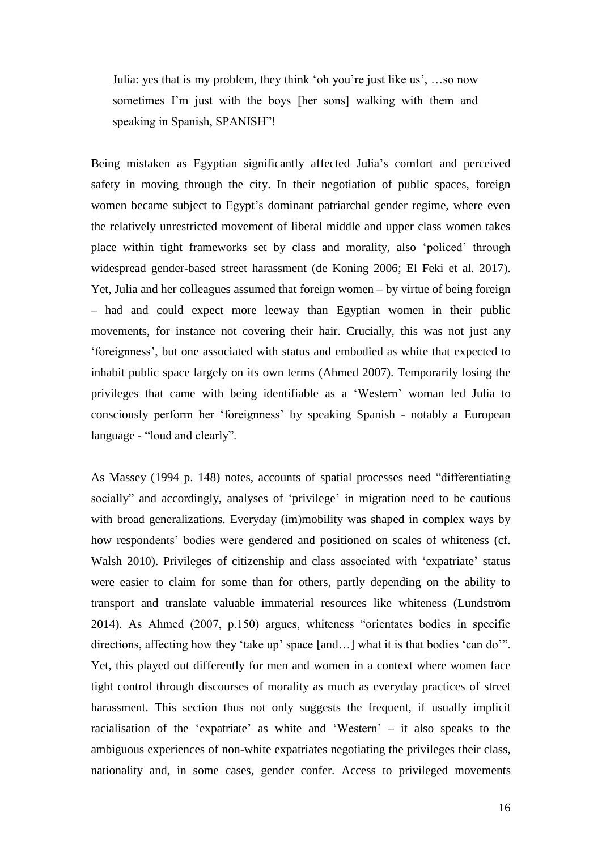Julia: yes that is my problem, they think 'oh you're just like us', …so now sometimes I'm just with the boys [her sons] walking with them and speaking in Spanish, SPANISH"!

Being mistaken as Egyptian significantly affected Julia's comfort and perceived safety in moving through the city. In their negotiation of public spaces, foreign women became subject to Egypt's dominant patriarchal gender regime, where even the relatively unrestricted movement of liberal middle and upper class women takes place within tight frameworks set by class and morality, also 'policed' through widespread gender-based street harassment (de Koning 2006; El Feki et al. 2017). Yet, Julia and her colleagues assumed that foreign women – by virtue of being foreign – had and could expect more leeway than Egyptian women in their public movements, for instance not covering their hair. Crucially, this was not just any 'foreignness', but one associated with status and embodied as white that expected to inhabit public space largely on its own terms (Ahmed 2007). Temporarily losing the privileges that came with being identifiable as a 'Western' woman led Julia to consciously perform her 'foreignness' by speaking Spanish - notably a European language - "loud and clearly".

As Massey (1994 p. 148) notes, accounts of spatial processes need "differentiating socially" and accordingly, analyses of 'privilege' in migration need to be cautious with broad generalizations. Everyday (im)mobility was shaped in complex ways by how respondents' bodies were gendered and positioned on scales of whiteness (cf. Walsh 2010). Privileges of citizenship and class associated with 'expatriate' status were easier to claim for some than for others, partly depending on the ability to transport and translate valuable immaterial resources like whiteness (Lundström 2014). As Ahmed (2007, p.150) argues, whiteness "orientates bodies in specific directions, affecting how they 'take up' space [and…] what it is that bodies 'can do'". Yet, this played out differently for men and women in a context where women face tight control through discourses of morality as much as everyday practices of street harassment. This section thus not only suggests the frequent, if usually implicit racialisation of the 'expatriate' as white and 'Western' – it also speaks to the ambiguous experiences of non-white expatriates negotiating the privileges their class, nationality and, in some cases, gender confer. Access to privileged movements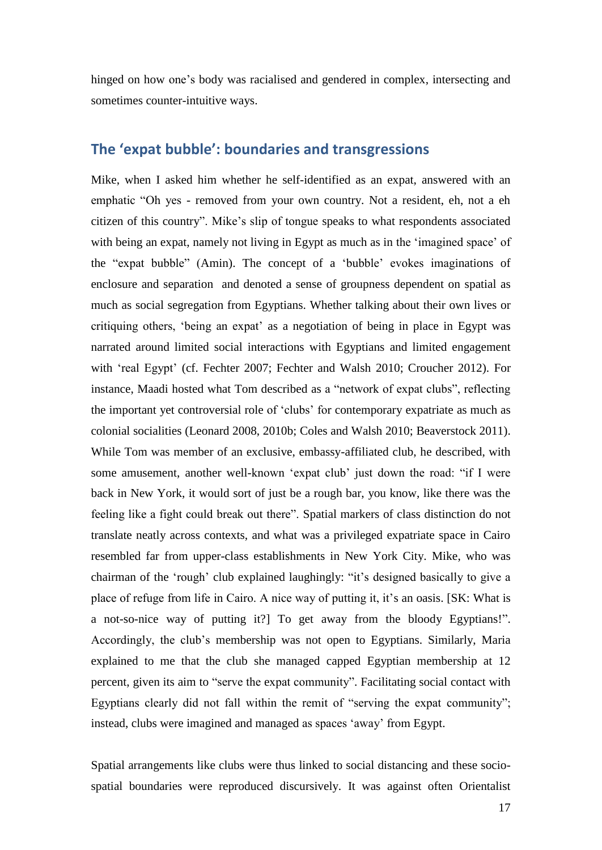hinged on how one's body was racialised and gendered in complex, intersecting and sometimes counter-intuitive ways.

## **The 'expat bubble': boundaries and transgressions**

Mike, when I asked him whether he self-identified as an expat, answered with an emphatic "Oh yes - removed from your own country. Not a resident, eh, not a eh citizen of this country". Mike's slip of tongue speaks to what respondents associated with being an expat, namely not living in Egypt as much as in the 'imagined space' of the "expat bubble" (Amin). The concept of a 'bubble' evokes imaginations of enclosure and separation and denoted a sense of groupness dependent on spatial as much as social segregation from Egyptians. Whether talking about their own lives or critiquing others, 'being an expat' as a negotiation of being in place in Egypt was narrated around limited social interactions with Egyptians and limited engagement with 'real Egypt' (cf. Fechter 2007; Fechter and Walsh 2010; Croucher 2012). For instance, Maadi hosted what Tom described as a "network of expat clubs", reflecting the important yet controversial role of 'clubs' for contemporary expatriate as much as colonial socialities (Leonard 2008, 2010b; Coles and Walsh 2010; Beaverstock 2011). While Tom was member of an exclusive, embassy-affiliated club, he described, with some amusement, another well-known 'expat club' just down the road: "if I were back in New York, it would sort of just be a rough bar, you know, like there was the feeling like a fight could break out there". Spatial markers of class distinction do not translate neatly across contexts, and what was a privileged expatriate space in Cairo resembled far from upper-class establishments in New York City. Mike, who was chairman of the 'rough' club explained laughingly: "it's designed basically to give a place of refuge from life in Cairo. A nice way of putting it, it's an oasis. [SK: What is a not-so-nice way of putting it?] To get away from the bloody Egyptians!". Accordingly, the club's membership was not open to Egyptians. Similarly, Maria explained to me that the club she managed capped Egyptian membership at 12 percent, given its aim to "serve the expat community". Facilitating social contact with Egyptians clearly did not fall within the remit of "serving the expat community"; instead, clubs were imagined and managed as spaces 'away' from Egypt.

Spatial arrangements like clubs were thus linked to social distancing and these sociospatial boundaries were reproduced discursively. It was against often Orientalist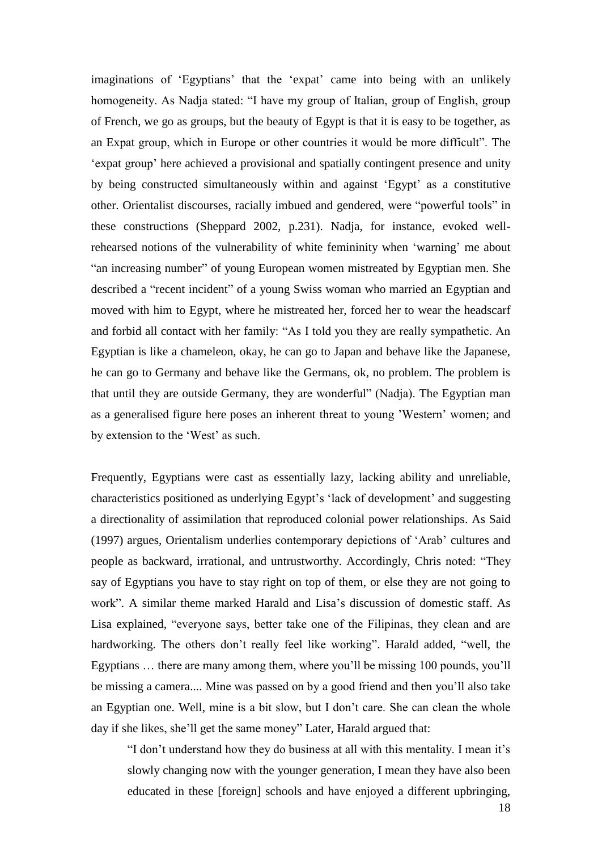imaginations of 'Egyptians' that the 'expat' came into being with an unlikely homogeneity. As Nadja stated: "I have my group of Italian, group of English, group of French, we go as groups, but the beauty of Egypt is that it is easy to be together, as an Expat group, which in Europe or other countries it would be more difficult". The 'expat group' here achieved a provisional and spatially contingent presence and unity by being constructed simultaneously within and against 'Egypt' as a constitutive other. Orientalist discourses, racially imbued and gendered, were "powerful tools" in these constructions (Sheppard 2002, p.231). Nadja, for instance, evoked wellrehearsed notions of the vulnerability of white femininity when 'warning' me about "an increasing number" of young European women mistreated by Egyptian men. She described a "recent incident" of a young Swiss woman who married an Egyptian and moved with him to Egypt, where he mistreated her, forced her to wear the headscarf and forbid all contact with her family: "As I told you they are really sympathetic. An Egyptian is like a chameleon, okay, he can go to Japan and behave like the Japanese, he can go to Germany and behave like the Germans, ok, no problem. The problem is that until they are outside Germany, they are wonderful" (Nadja). The Egyptian man as a generalised figure here poses an inherent threat to young 'Western' women; and by extension to the 'West' as such.

Frequently, Egyptians were cast as essentially lazy, lacking ability and unreliable, characteristics positioned as underlying Egypt's 'lack of development' and suggesting a directionality of assimilation that reproduced colonial power relationships. As Said (1997) argues, Orientalism underlies contemporary depictions of 'Arab' cultures and people as backward, irrational, and untrustworthy. Accordingly, Chris noted: "They say of Egyptians you have to stay right on top of them, or else they are not going to work". A similar theme marked Harald and Lisa's discussion of domestic staff. As Lisa explained, "everyone says, better take one of the Filipinas, they clean and are hardworking. The others don't really feel like working". Harald added, "well, the Egyptians … there are many among them, where you'll be missing 100 pounds, you'll be missing a camera.... Mine was passed on by a good friend and then you'll also take an Egyptian one. Well, mine is a bit slow, but I don't care. She can clean the whole day if she likes, she'll get the same money" Later, Harald argued that:

"I don't understand how they do business at all with this mentality. I mean it's slowly changing now with the younger generation, I mean they have also been educated in these [foreign] schools and have enjoyed a different upbringing,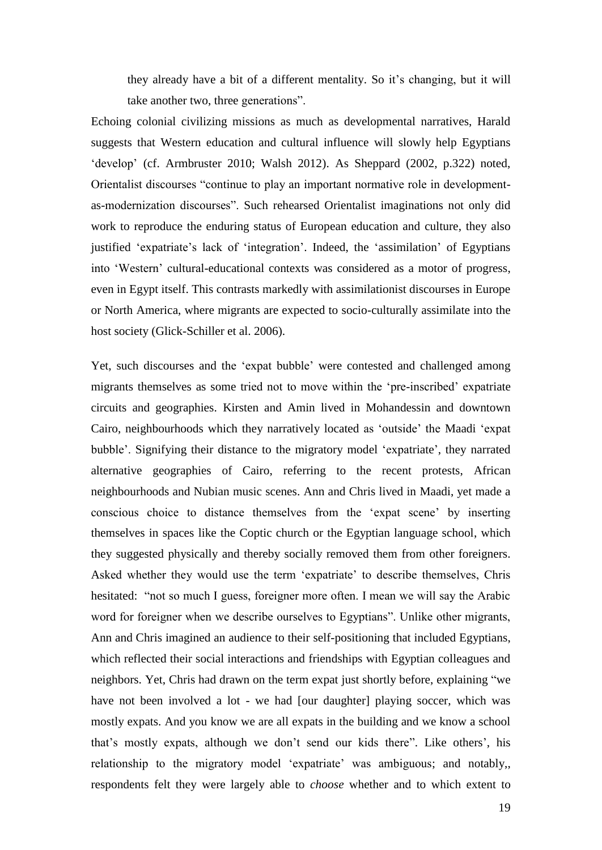they already have a bit of a different mentality. So it's changing, but it will take another two, three generations".

Echoing colonial civilizing missions as much as developmental narratives, Harald suggests that Western education and cultural influence will slowly help Egyptians 'develop' (cf. Armbruster 2010; Walsh 2012). As Sheppard (2002, p.322) noted, Orientalist discourses "continue to play an important normative role in developmentas-modernization discourses". Such rehearsed Orientalist imaginations not only did work to reproduce the enduring status of European education and culture, they also justified 'expatriate's lack of 'integration'. Indeed, the 'assimilation' of Egyptians into 'Western' cultural-educational contexts was considered as a motor of progress, even in Egypt itself. This contrasts markedly with assimilationist discourses in Europe or North America, where migrants are expected to socio-culturally assimilate into the host society (Glick-Schiller et al. 2006).

Yet, such discourses and the 'expat bubble' were contested and challenged among migrants themselves as some tried not to move within the 'pre-inscribed' expatriate circuits and geographies. Kirsten and Amin lived in Mohandessin and downtown Cairo, neighbourhoods which they narratively located as 'outside' the Maadi 'expat bubble'. Signifying their distance to the migratory model 'expatriate', they narrated alternative geographies of Cairo, referring to the recent protests, African neighbourhoods and Nubian music scenes. Ann and Chris lived in Maadi, yet made a conscious choice to distance themselves from the 'expat scene' by inserting themselves in spaces like the Coptic church or the Egyptian language school, which they suggested physically and thereby socially removed them from other foreigners. Asked whether they would use the term 'expatriate' to describe themselves, Chris hesitated: "not so much I guess, foreigner more often. I mean we will say the Arabic word for foreigner when we describe ourselves to Egyptians". Unlike other migrants, Ann and Chris imagined an audience to their self-positioning that included Egyptians, which reflected their social interactions and friendships with Egyptian colleagues and neighbors. Yet, Chris had drawn on the term expat just shortly before, explaining "we have not been involved a lot - we had [our daughter] playing soccer, which was mostly expats. And you know we are all expats in the building and we know a school that's mostly expats, although we don't send our kids there". Like others', his relationship to the migratory model 'expatriate' was ambiguous; and notably,, respondents felt they were largely able to *choose* whether and to which extent to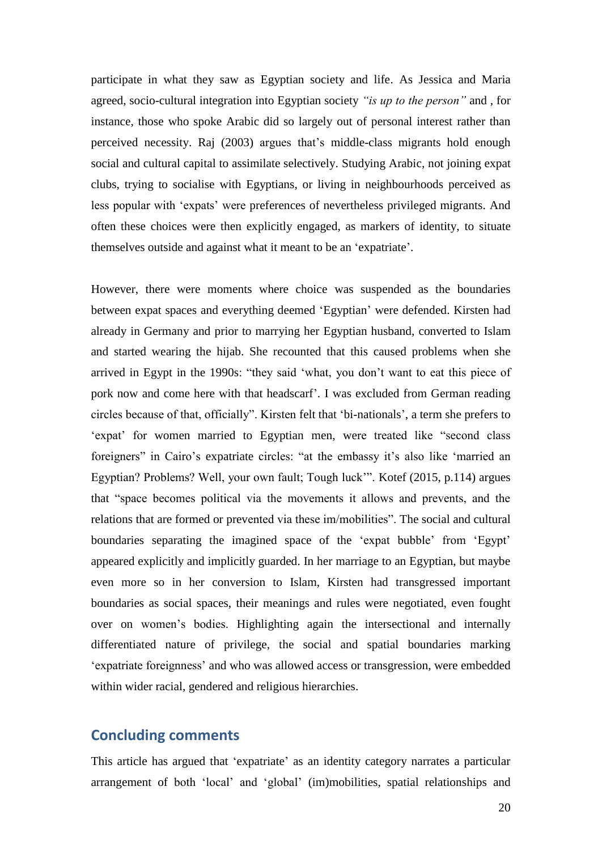participate in what they saw as Egyptian society and life. As Jessica and Maria agreed, socio-cultural integration into Egyptian society *"is up to the person"* and , for instance, those who spoke Arabic did so largely out of personal interest rather than perceived necessity. Raj (2003) argues that's middle-class migrants hold enough social and cultural capital to assimilate selectively. Studying Arabic, not joining expat clubs, trying to socialise with Egyptians, or living in neighbourhoods perceived as less popular with 'expats' were preferences of nevertheless privileged migrants. And often these choices were then explicitly engaged, as markers of identity, to situate themselves outside and against what it meant to be an 'expatriate'.

However, there were moments where choice was suspended as the boundaries between expat spaces and everything deemed 'Egyptian' were defended. Kirsten had already in Germany and prior to marrying her Egyptian husband, converted to Islam and started wearing the hijab. She recounted that this caused problems when she arrived in Egypt in the 1990s: "they said 'what, you don't want to eat this piece of pork now and come here with that headscarf'. I was excluded from German reading circles because of that, officially". Kirsten felt that 'bi-nationals', a term she prefers to 'expat' for women married to Egyptian men, were treated like "second class foreigners" in Cairo's expatriate circles: "at the embassy it's also like 'married an Egyptian? Problems? Well, your own fault; Tough luck'". Kotef (2015, p.114) argues that "space becomes political via the movements it allows and prevents, and the relations that are formed or prevented via these im/mobilities". The social and cultural boundaries separating the imagined space of the 'expat bubble' from 'Egypt' appeared explicitly and implicitly guarded. In her marriage to an Egyptian, but maybe even more so in her conversion to Islam, Kirsten had transgressed important boundaries as social spaces, their meanings and rules were negotiated, even fought over on women's bodies. Highlighting again the intersectional and internally differentiated nature of privilege, the social and spatial boundaries marking 'expatriate foreignness' and who was allowed access or transgression, were embedded within wider racial, gendered and religious hierarchies.

#### **Concluding comments**

This article has argued that 'expatriate' as an identity category narrates a particular arrangement of both 'local' and 'global' (im)mobilities, spatial relationships and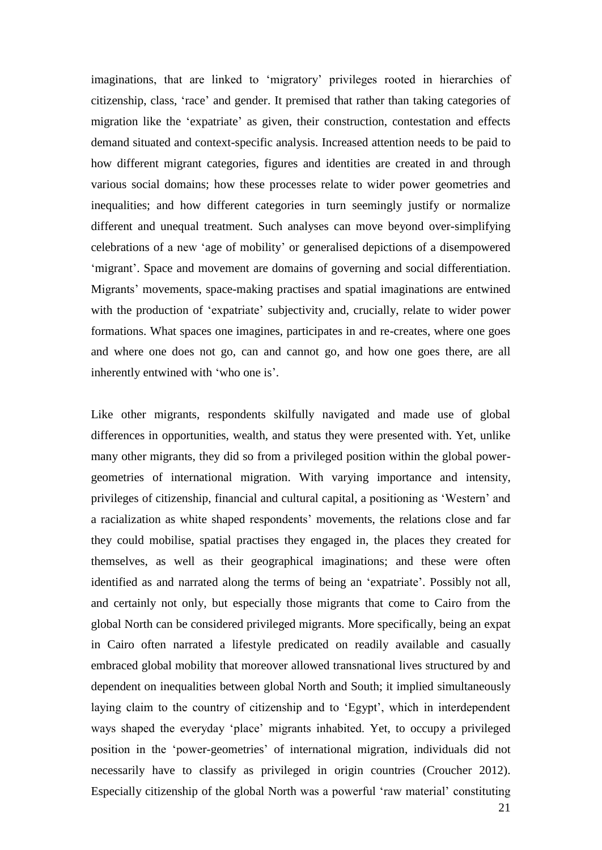imaginations, that are linked to 'migratory' privileges rooted in hierarchies of citizenship, class, 'race' and gender. It premised that rather than taking categories of migration like the 'expatriate' as given, their construction, contestation and effects demand situated and context-specific analysis. Increased attention needs to be paid to how different migrant categories, figures and identities are created in and through various social domains; how these processes relate to wider power geometries and inequalities; and how different categories in turn seemingly justify or normalize different and unequal treatment. Such analyses can move beyond over-simplifying celebrations of a new 'age of mobility' or generalised depictions of a disempowered 'migrant'. Space and movement are domains of governing and social differentiation. Migrants' movements, space-making practises and spatial imaginations are entwined with the production of 'expatriate' subjectivity and, crucially, relate to wider power formations. What spaces one imagines, participates in and re-creates, where one goes and where one does not go, can and cannot go, and how one goes there, are all inherently entwined with 'who one is'.

Like other migrants, respondents skilfully navigated and made use of global differences in opportunities, wealth, and status they were presented with. Yet, unlike many other migrants, they did so from a privileged position within the global powergeometries of international migration. With varying importance and intensity, privileges of citizenship, financial and cultural capital, a positioning as 'Western' and a racialization as white shaped respondents' movements, the relations close and far they could mobilise, spatial practises they engaged in, the places they created for themselves, as well as their geographical imaginations; and these were often identified as and narrated along the terms of being an 'expatriate'. Possibly not all, and certainly not only, but especially those migrants that come to Cairo from the global North can be considered privileged migrants. More specifically, being an expat in Cairo often narrated a lifestyle predicated on readily available and casually embraced global mobility that moreover allowed transnational lives structured by and dependent on inequalities between global North and South; it implied simultaneously laying claim to the country of citizenship and to 'Egypt', which in interdependent ways shaped the everyday 'place' migrants inhabited. Yet, to occupy a privileged position in the 'power-geometries' of international migration, individuals did not necessarily have to classify as privileged in origin countries (Croucher 2012). Especially citizenship of the global North was a powerful 'raw material' constituting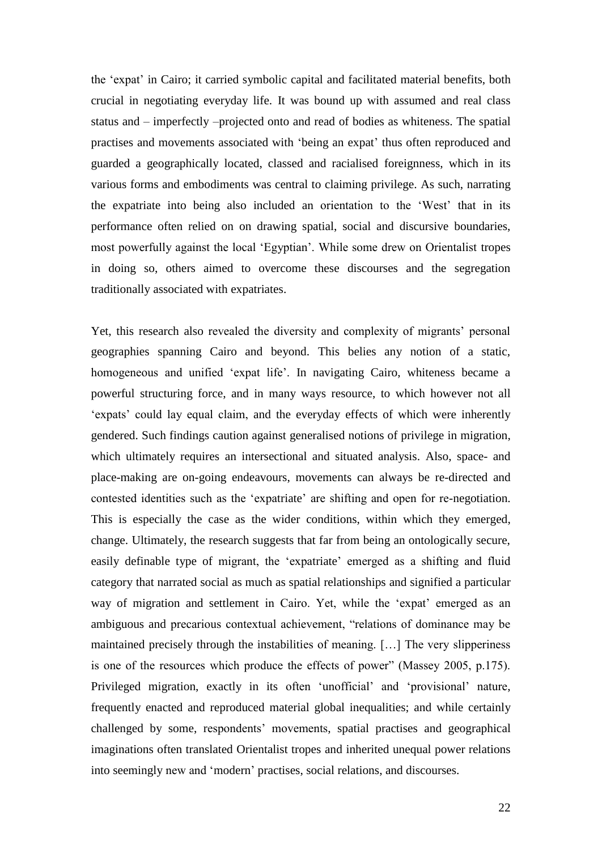the 'expat' in Cairo; it carried symbolic capital and facilitated material benefits, both crucial in negotiating everyday life. It was bound up with assumed and real class status and – imperfectly –projected onto and read of bodies as whiteness. The spatial practises and movements associated with 'being an expat' thus often reproduced and guarded a geographically located, classed and racialised foreignness, which in its various forms and embodiments was central to claiming privilege. As such, narrating the expatriate into being also included an orientation to the 'West' that in its performance often relied on on drawing spatial, social and discursive boundaries, most powerfully against the local 'Egyptian'. While some drew on Orientalist tropes in doing so, others aimed to overcome these discourses and the segregation traditionally associated with expatriates.

Yet, this research also revealed the diversity and complexity of migrants' personal geographies spanning Cairo and beyond. This belies any notion of a static, homogeneous and unified 'expat life'. In navigating Cairo, whiteness became a powerful structuring force, and in many ways resource, to which however not all 'expats' could lay equal claim, and the everyday effects of which were inherently gendered. Such findings caution against generalised notions of privilege in migration, which ultimately requires an intersectional and situated analysis. Also, space- and place-making are on-going endeavours, movements can always be re-directed and contested identities such as the 'expatriate' are shifting and open for re-negotiation. This is especially the case as the wider conditions, within which they emerged, change. Ultimately, the research suggests that far from being an ontologically secure, easily definable type of migrant, the 'expatriate' emerged as a shifting and fluid category that narrated social as much as spatial relationships and signified a particular way of migration and settlement in Cairo. Yet, while the 'expat' emerged as an ambiguous and precarious contextual achievement, "relations of dominance may be maintained precisely through the instabilities of meaning. […] The very slipperiness is one of the resources which produce the effects of power" (Massey 2005, p.175). Privileged migration, exactly in its often 'unofficial' and 'provisional' nature, frequently enacted and reproduced material global inequalities; and while certainly challenged by some, respondents' movements, spatial practises and geographical imaginations often translated Orientalist tropes and inherited unequal power relations into seemingly new and 'modern' practises, social relations, and discourses.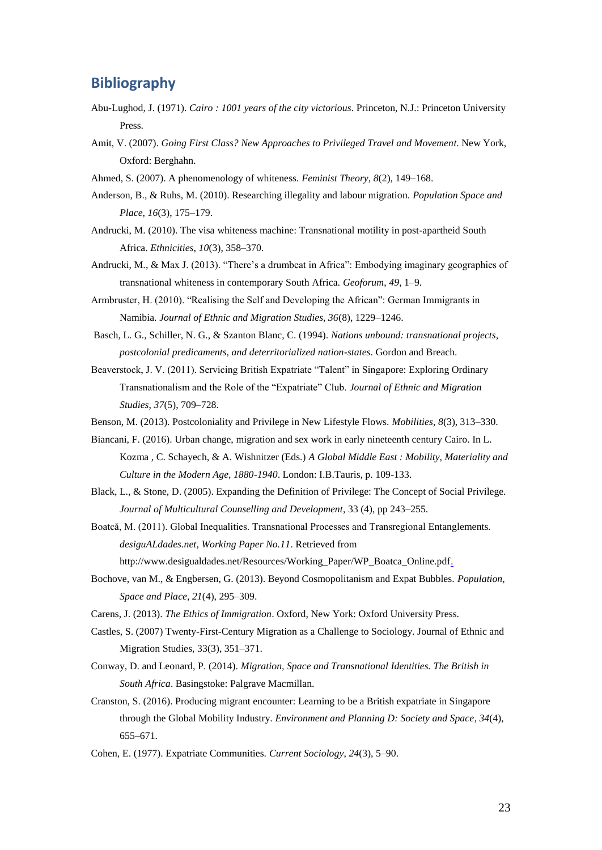### **Bibliography**

- Abu-Lughod, J. (1971). *Cairo : 1001 years of the city victorious*. Princeton, N.J.: Princeton University Press.
- Amit, V. (2007). *Going First Class? New Approaches to Privileged Travel and Movement*. New York, Oxford: Berghahn.
- Ahmed, S. (2007). A phenomenology of whiteness. *Feminist Theory*, *8*(2), 149–168.
- Anderson, B., & Ruhs, M. (2010). Researching illegality and labour migration. *Population Space and Place*, *16*(3), 175–179.
- Andrucki, M. (2010). The visa whiteness machine: Transnational motility in post-apartheid South Africa. *Ethnicities*, *10*(3), 358–370.
- Andrucki, M., & Max J. (2013). "There's a drumbeat in Africa": Embodying imaginary geographies of transnational whiteness in contemporary South Africa. *Geoforum*, *49*, 1–9.
- Armbruster, H. (2010). "Realising the Self and Developing the African": German Immigrants in Namibia. *Journal of Ethnic and Migration Studies, 36*(8), 1229–1246.
- Basch, L. G., Schiller, N. G., & Szanton Blanc, C. (1994). *Nations unbound: transnational projects, postcolonial predicaments, and deterritorialized nation-states*. Gordon and Breach.
- Beaverstock, J. V. (2011). Servicing British Expatriate "Talent" in Singapore: Exploring Ordinary Transnationalism and the Role of the "Expatriate" Club. *Journal of Ethnic and Migration Studies*, *37*(5), 709–728.
- Benson, M. (2013). Postcoloniality and Privilege in New Lifestyle Flows. *Mobilities*, *8*(3), 313–330.
- Biancani, F. (2016). Urban change, migration and sex work in early nineteenth century Cairo. In L.
	- Kozma , C. Schayech, & A. Wishnitzer (Eds.) *A Global Middle East : Mobility, Materiality and Culture in the Modern Age, 1880-1940*. London: I.B.Tauris, p. 109-133.
- Black, L., & Stone, D. (2005). Expanding the Definition of Privilege: The Concept of Social Privilege. *Journal of Multicultural Counselling and Development*, 33 (4), pp 243–255.
- Boatcă, M. (2011). Global Inequalities. Transnational Processes and Transregional Entanglements. *desiguALdades.net*, *Working Paper No.11*. Retrieved from
	- http://www.desigualdades.net/Resources/Working\_Paper/WP\_Boatca\_Online.pdf.
- Bochove, van M., & Engbersen, G. (2013). Beyond Cosmopolitanism and Expat Bubbles. *Population, Space and Place*, *21*(4), 295–309.
- Carens, J. (2013). *The Ethics of Immigration*. Oxford, New York: Oxford University Press.
- Castles, S. (2007) Twenty-First-Century Migration as a Challenge to Sociology. Journal of Ethnic and Migration Studies, 33(3), 351–371.
- Conway, D. and Leonard, P. (2014). *Migration, Space and Transnational Identities. The British in South Africa*. Basingstoke: Palgrave Macmillan.
- Cranston, S. (2016). Producing migrant encounter: Learning to be a British expatriate in Singapore through the Global Mobility Industry. *Environment and Planning D: Society and Space*, *34*(4), 655–671.
- Cohen, E. (1977). Expatriate Communities. *Current Sociology*, *24*(3), 5–90.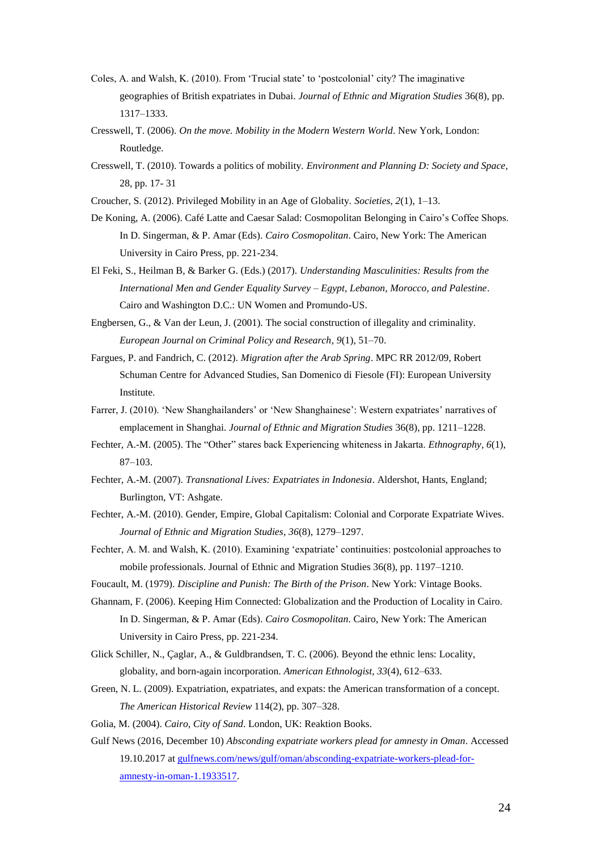- Coles, A. and Walsh, K. (2010). From 'Trucial state' to 'postcolonial' city? The imaginative geographies of British expatriates in Dubai. *Journal of Ethnic and Migration Studies* 36(8), pp. 1317–1333.
- Cresswell, T. (2006). *On the move. Mobility in the Modern Western World*. New York, London: Routledge.
- Cresswell, T. (2010). Towards a politics of mobility. *Environment and Planning D: Society and Space*, 28, pp. 17- 31
- Croucher, S. (2012). Privileged Mobility in an Age of Globality. *Societies*, *2*(1), 1–13.
- De Koning, A. (2006). Café Latte and Caesar Salad: Cosmopolitan Belonging in Cairo's Coffee Shops. In D. Singerman, & P. Amar (Eds). *Cairo Cosmopolitan*. Cairo, New York: The American University in Cairo Press, pp. 221-234.
- El Feki, S., Heilman B, & Barker G. (Eds.) (2017). *Understanding Masculinities: Results from the International Men and Gender Equality Survey – Egypt, Lebanon, Morocco, and Palestine*. Cairo and Washington D.C.: UN Women and Promundo-US.
- Engbersen, G., & Van der Leun, J. (2001). The social construction of illegality and criminality. *European Journal on Criminal Policy and Research*, *9*(1), 51–70.
- Fargues, P. and Fandrich, C. (2012). *Migration after the Arab Spring*. MPC RR 2012/09, Robert Schuman Centre for Advanced Studies, San Domenico di Fiesole (FI): European University Institute.
- Farrer, J. (2010). 'New Shanghailanders' or 'New Shanghainese': Western expatriates' narratives of emplacement in Shanghai. *Journal of Ethnic and Migration Studies* 36(8), pp. 1211–1228.
- Fechter, A.-M. (2005). The "Other" stares back Experiencing whiteness in Jakarta. *Ethnography*, *6*(1), 87–103.
- Fechter, A.-M. (2007). *Transnational Lives: Expatriates in Indonesia*. Aldershot, Hants, England; Burlington, VT: Ashgate.
- Fechter, A.-M. (2010). Gender, Empire, Global Capitalism: Colonial and Corporate Expatriate Wives. *Journal of Ethnic and Migration Studies*, *36*(8), 1279–1297.
- Fechter, A. M. and Walsh, K. (2010). Examining 'expatriate' continuities: postcolonial approaches to mobile professionals. Journal of Ethnic and Migration Studies 36(8), pp. 1197–1210.
- Foucault, M. (1979). *Discipline and Punish: The Birth of the Prison*. New York: Vintage Books.
- Ghannam, F. (2006). Keeping Him Connected: Globalization and the Production of Locality in Cairo. In D. Singerman, & P. Amar (Eds). *Cairo Cosmopolitan*. Cairo, New York: The American University in Cairo Press, pp. 221-234.
- Glick Schiller, N., Çaglar, A., & Guldbrandsen, T. C. (2006). Beyond the ethnic lens: Locality, globality, and born-again incorporation. *American Ethnologist*, *33*(4), 612–633.
- Green, N. L. (2009). Expatriation, expatriates, and expats: the American transformation of a concept. *The American Historical Review* 114(2), pp. 307–328.
- Golia, M. (2004). *Cairo, City of Sand*. London, UK: Reaktion Books.
- Gulf News (2016, December 10) *Absconding expatriate workers plead for amnesty in Oman*. Accessed 19.10.2017 at [gulfnews.com/news/gulf/oman/absconding-expatriate-workers-plead-for](http://gulfnews.com/news/gulf/oman/absconding-expatriate-workers-plead-for-amnesty-in-oman-1.1933517)[amnesty-in-oman-1.1933517.](http://gulfnews.com/news/gulf/oman/absconding-expatriate-workers-plead-for-amnesty-in-oman-1.1933517)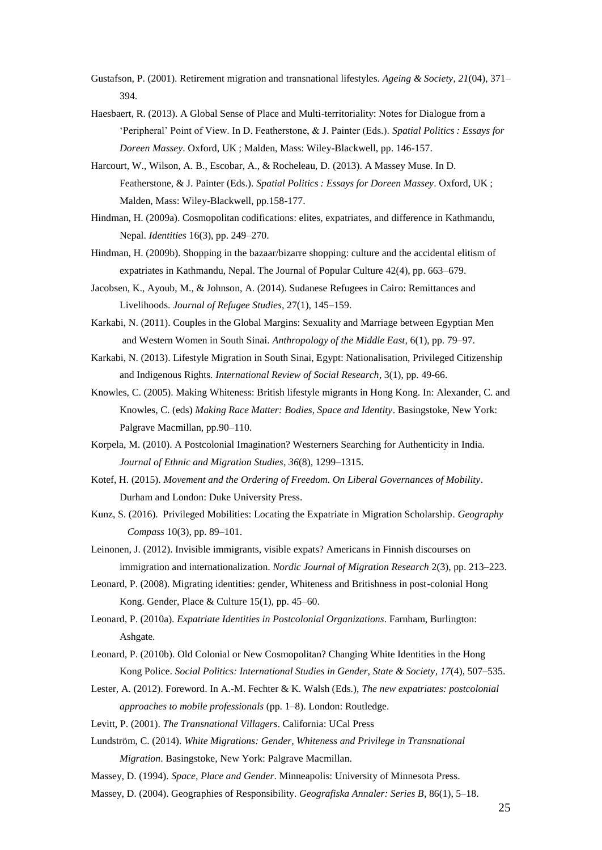- Gustafson, P. (2001). Retirement migration and transnational lifestyles. *Ageing & Society*, *21*(04), 371– 394.
- Haesbaert, R. (2013). A Global Sense of Place and Multi-territoriality: Notes for Dialogue from a 'Peripheral' Point of View. In D. Featherstone, & J. Painter (Eds.). *Spatial Politics : Essays for Doreen Massey*. Oxford, UK ; Malden, Mass: Wiley-Blackwell, pp. 146-157.
- Harcourt, W., Wilson, A. B., Escobar, A., & Rocheleau, D. (2013). A Massey Muse. In D. Featherstone, & J. Painter (Eds.). *Spatial Politics : Essays for Doreen Massey*. Oxford, UK ; Malden, Mass: Wiley-Blackwell, pp.158-177.
- Hindman, H. (2009a). Cosmopolitan codifications: elites, expatriates, and difference in Kathmandu, Nepal. *Identities* 16(3), pp. 249–270.
- Hindman, H. (2009b). Shopping in the bazaar/bizarre shopping: culture and the accidental elitism of expatriates in Kathmandu, Nepal. The Journal of Popular Culture 42(4), pp. 663–679.
- Jacobsen, K., Ayoub, M., & Johnson, A. (2014). Sudanese Refugees in Cairo: Remittances and Livelihoods. *Journal of Refugee Studies*, 27(1), 145–159.
- Karkabi, N. (2011). Couples in the Global Margins: Sexuality and Marriage between Egyptian Men and Western Women in South Sinai. *Anthropology of the Middle East*, 6(1), pp. 79–97.
- Karkabi, N. (2013). Lifestyle Migration in South Sinai, Egypt: Nationalisation, Privileged Citizenship and Indigenous Rights. *International Review of Social Research*, 3(1), pp. 49-66.
- Knowles, C. (2005). Making Whiteness: British lifestyle migrants in Hong Kong. In: Alexander, C. and Knowles, C. (eds) *Making Race Matter: Bodies, Space and Identity*. Basingstoke, New York: Palgrave Macmillan, pp.90–110.
- Korpela, M. (2010). A Postcolonial Imagination? Westerners Searching for Authenticity in India. *Journal of Ethnic and Migration Studies*, *36*(8), 1299–1315.
- Kotef, H. (2015). *Movement and the Ordering of Freedom. On Liberal Governances of Mobility*. Durham and London: Duke University Press.
- Kunz, S. (2016). Privileged Mobilities: Locating the Expatriate in Migration Scholarship*. Geography Compass* 10(3), pp. 89–101.
- Leinonen, J. (2012). Invisible immigrants, visible expats? Americans in Finnish discourses on immigration and internationalization. *Nordic Journal of Migration Research* 2(3), pp. 213–223.
- Leonard, P. (2008). Migrating identities: gender, Whiteness and Britishness in post-colonial Hong Kong. Gender, Place & Culture 15(1), pp. 45–60.
- Leonard, P. (2010a). *Expatriate Identities in Postcolonial Organizations*. Farnham, Burlington: Ashgate.
- Leonard, P. (2010b). Old Colonial or New Cosmopolitan? Changing White Identities in the Hong Kong Police. *Social Politics: International Studies in Gender, State & Society*, *17*(4), 507–535.
- Lester, A. (2012). Foreword. In A.-M. Fechter & K. Walsh (Eds.), *The new expatriates: postcolonial approaches to mobile professionals* (pp. 1–8). London: Routledge.
- Levitt, P. (2001). *The Transnational Villagers*. California: UCal Press
- Lundström, C. (2014). *White Migrations: Gender, Whiteness and Privilege in Transnational*

*Migration*. Basingstoke, New York: Palgrave Macmillan.

Massey, D. (1994). *Space, Place and Gender*. Minneapolis: University of Minnesota Press.

Massey, D. (2004). Geographies of Responsibility. *Geografiska Annaler: Series B*, 86(1), 5–18.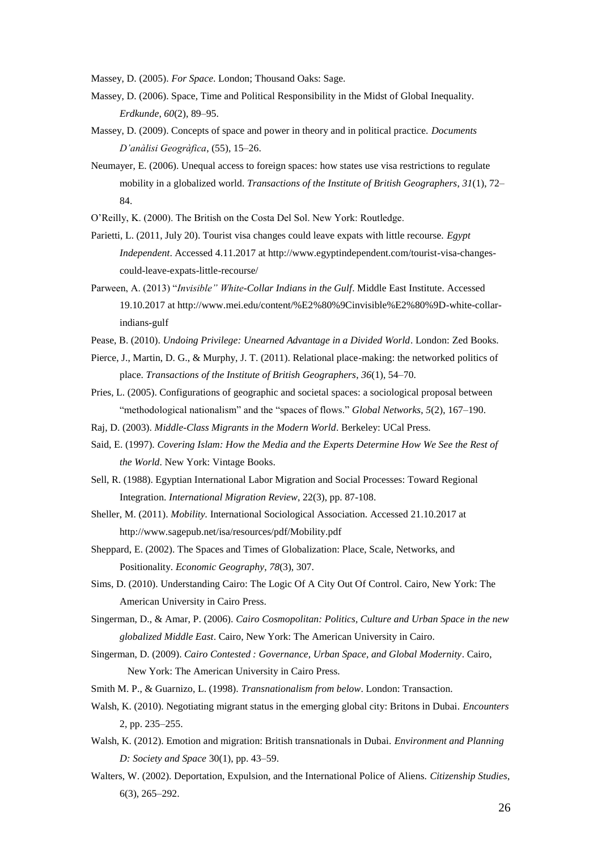Massey, D. (2005). *For Space*. London; Thousand Oaks: Sage.

- Massey, D. (2006). Space, Time and Political Responsibility in the Midst of Global Inequality. *Erdkunde*, *60*(2), 89–95.
- Massey, D. (2009). Concepts of space and power in theory and in political practice. *Documents D'anàlisi Geogràfica*, (55), 15–26.
- Neumayer, E. (2006). Unequal access to foreign spaces: how states use visa restrictions to regulate mobility in a globalized world. *Transactions of the Institute of British Geographers*, *31*(1), 72– 84.

O'Reilly, K. (2000). The British on the Costa Del Sol. New York: Routledge.

- Parietti, L. (2011, July 20). Tourist visa changes could leave expats with little recourse. *Egypt Independent*. Accessed 4.11.2017 at http://www.egyptindependent.com/tourist-visa-changescould-leave-expats-little-recourse/
- Parween, A. (2013) "*Invisible" White-Collar Indians in the Gulf*. Middle East Institute. Accessed 19.10.2017 at http://www.mei.edu/content/%E2%80%9Cinvisible%E2%80%9D-white-collarindians-gulf
- Pease, B. (2010). *Undoing Privilege: Unearned Advantage in a Divided World*. London: Zed Books.
- Pierce, J., Martin, D. G., & Murphy, J. T. (2011). Relational place-making: the networked politics of place. *Transactions of the Institute of British Geographers*, *36*(1), 54–70.
- Pries, L. (2005). Configurations of geographic and societal spaces: a sociological proposal between "methodological nationalism" and the "spaces of flows." *Global Networks*, *5*(2), 167–190.
- Raj, D. (2003). *Middle-Class Migrants in the Modern World*. Berkeley: UCal Press.
- Said, E. (1997). *Covering Islam: How the Media and the Experts Determine How We See the Rest of the World*. New York: Vintage Books.
- Sell, R. (1988). Egyptian International Labor Migration and Social Processes: Toward Regional Integration. *International Migration Review*, 22(3), pp. 87-108.
- Sheller, M. (2011). *Mobility.* International Sociological Association. Accessed 21.10.2017 at http://www.sagepub.net/isa/resources/pdf/Mobility.pdf
- Sheppard, E. (2002). The Spaces and Times of Globalization: Place, Scale, Networks, and Positionality. *Economic Geography*, *78*(3), 307.
- Sims, D. (2010). Understanding Cairo: The Logic Of A City Out Of Control. Cairo, New York: The American University in Cairo Press.
- Singerman, D., & Amar, P. (2006). *Cairo Cosmopolitan: Politics, Culture and Urban Space in the new globalized Middle East*. Cairo, New York: The American University in Cairo.
- Singerman, D. (2009). *Cairo Contested : Governance, Urban Space, and Global Modernity*. Cairo, New York: The American University in Cairo Press.
- Smith M. P., & Guarnizo, L. (1998). *Transnationalism from below*. London: Transaction.
- Walsh, K. (2010). Negotiating migrant status in the emerging global city: Britons in Dubai. *Encounters*  2, pp. 235–255.
- Walsh, K. (2012). Emotion and migration: British transnationals in Dubai. *Environment and Planning D: Society and Space* 30(1), pp. 43–59.
- Walters, W. (2002). Deportation, Expulsion, and the International Police of Aliens. *Citizenship Studies*, 6(3), 265–292.